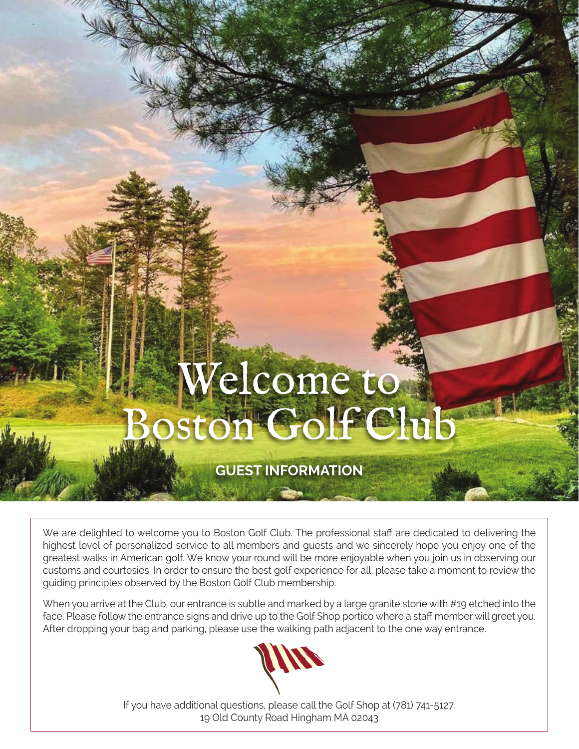# Welcome to Solf Club

# **GUEST INFORMATION**

We are delighted to welcome you to Boston Golf Club. The professional staff are dedicated to delivering the highest level of personalized service to all members and guests and we sincerely hope you enjoy one of the greatest walks in American golf. We know your round will be more enjoyable when you join us in observing our customs and courtesies. In order to ensure the best golf experience for all, please take a moment to review the guiding principles observed by the Boston Golf Club membership.

When you arrive at the Club, our entrance is subtle and marked by a large granite stone with #19 etched into the face. Please follow the entrance signs and drive up to the Golf Shop portico where a staff member will greet you. After dropping your bag and parking, please use the walking path adjacent to the one way entrance.



If you have additional questions, please call the Golf Shop at (781) 741-5127. 19 Old County Road Hingham MA 02043